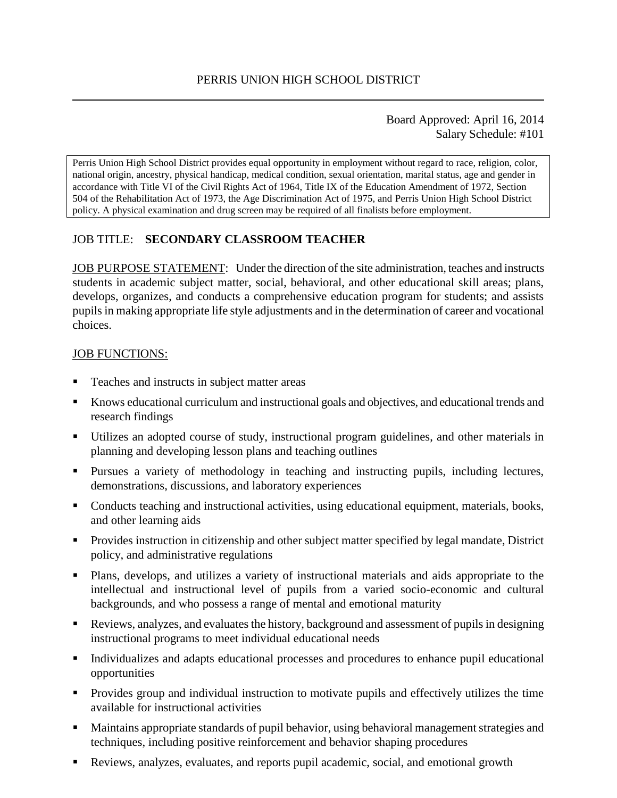#### Board Approved: April 16, 2014 Salary Schedule: #101

Perris Union High School District provides equal opportunity in employment without regard to race, religion, color, national origin, ancestry, physical handicap, medical condition, sexual orientation, marital status, age and gender in accordance with Title VI of the Civil Rights Act of 1964, Title IX of the Education Amendment of 1972, Section 504 of the Rehabilitation Act of 1973, the Age Discrimination Act of 1975, and Perris Union High School District policy. A physical examination and drug screen may be required of all finalists before employment.

# JOB TITLE: **SECONDARY CLASSROOM TEACHER**

JOB PURPOSE STATEMENT: Under the direction of the site administration, teaches and instructs students in academic subject matter, social, behavioral, and other educational skill areas; plans, develops, organizes, and conducts a comprehensive education program for students; and assists pupils in making appropriate life style adjustments and in the determination of career and vocational choices.

#### JOB FUNCTIONS:

- **Teaches and instructs in subject matter areas**
- Knows educational curriculum and instructional goals and objectives, and educational trends and research findings
- Utilizes an adopted course of study, instructional program guidelines, and other materials in planning and developing lesson plans and teaching outlines
- Pursues a variety of methodology in teaching and instructing pupils, including lectures, demonstrations, discussions, and laboratory experiences
- Conducts teaching and instructional activities, using educational equipment, materials, books, and other learning aids
- **Provides instruction in citizenship and other subject matter specified by legal mandate, District** policy, and administrative regulations
- Plans, develops, and utilizes a variety of instructional materials and aids appropriate to the intellectual and instructional level of pupils from a varied socio-economic and cultural backgrounds, and who possess a range of mental and emotional maturity
- Reviews, analyzes, and evaluates the history, background and assessment of pupils in designing instructional programs to meet individual educational needs
- Individualizes and adapts educational processes and procedures to enhance pupil educational opportunities
- Provides group and individual instruction to motivate pupils and effectively utilizes the time available for instructional activities
- Maintains appropriate standards of pupil behavior, using behavioral management strategies and techniques, including positive reinforcement and behavior shaping procedures
- Reviews, analyzes, evaluates, and reports pupil academic, social, and emotional growth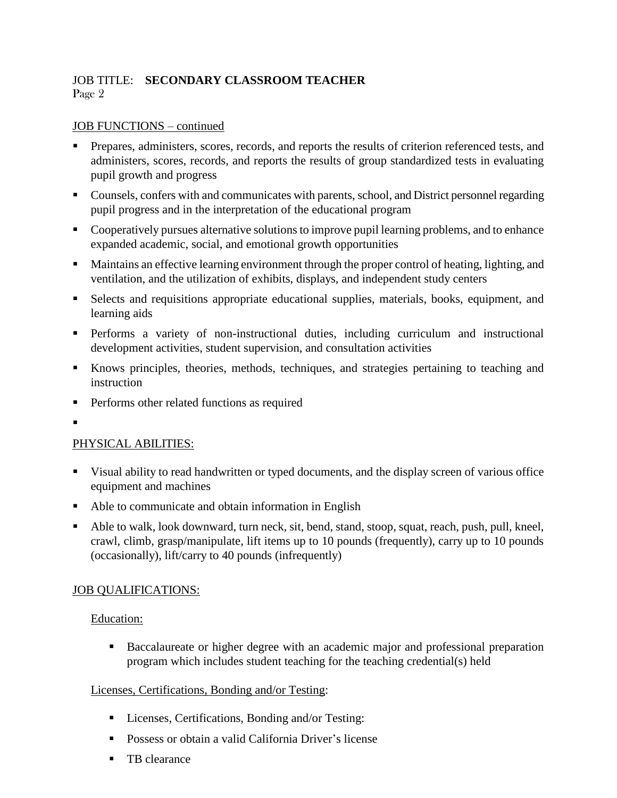# JOB TITLE: **SECONDARY CLASSROOM TEACHER** Page 2

#### JOB FUNCTIONS – continued

- Prepares, administers, scores, records, and reports the results of criterion referenced tests, and administers, scores, records, and reports the results of group standardized tests in evaluating pupil growth and progress
- Counsels, confers with and communicates with parents, school, and District personnel regarding pupil progress and in the interpretation of the educational program
- Cooperatively pursues alternative solutions to improve pupil learning problems, and to enhance expanded academic, social, and emotional growth opportunities
- Maintains an effective learning environment through the proper control of heating, lighting, and ventilation, and the utilization of exhibits, displays, and independent study centers
- Selects and requisitions appropriate educational supplies, materials, books, equipment, and learning aids
- Performs a variety of non-instructional duties, including curriculum and instructional development activities, student supervision, and consultation activities
- Knows principles, theories, methods, techniques, and strategies pertaining to teaching and instruction
- **Performs other related functions as required**
- .

### PHYSICAL ABILITIES:

- Visual ability to read handwritten or typed documents, and the display screen of various office equipment and machines
- Able to communicate and obtain information in English
- Able to walk, look downward, turn neck, sit, bend, stand, stoop, squat, reach, push, pull, kneel, crawl, climb, grasp/manipulate, lift items up to 10 pounds (frequently), carry up to 10 pounds (occasionally), lift/carry to 40 pounds (infrequently)

### JOB QUALIFICATIONS:

#### Education:

 Baccalaureate or higher degree with an academic major and professional preparation program which includes student teaching for the teaching credential(s) held

### Licenses, Certifications, Bonding and/or Testing:

- Licenses, Certifications, Bonding and/or Testing:
- **Possess or obtain a valid California Driver's license**
- **TB** clearance